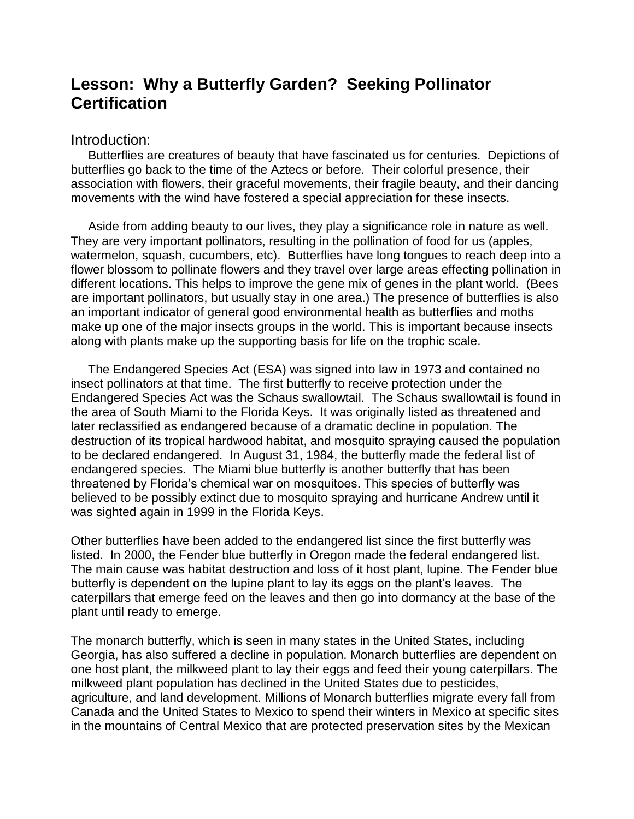# **Lesson: Why a Butterfly Garden? Seeking Pollinator Certification**

#### Introduction:

 Butterflies are creatures of beauty that have fascinated us for centuries. Depictions of butterflies go back to the time of the Aztecs or before. Their colorful presence, their association with flowers, their graceful movements, their fragile beauty, and their dancing movements with the wind have fostered a special appreciation for these insects.

 Aside from adding beauty to our lives, they play a significance role in nature as well. They are very important pollinators, resulting in the pollination of food for us (apples, watermelon, squash, cucumbers, etc). Butterflies have long tongues to reach deep into a flower blossom to pollinate flowers and they travel over large areas effecting pollination in different locations. This helps to improve the gene mix of genes in the plant world. (Bees are important pollinators, but usually stay in one area.) The presence of butterflies is also an important indicator of general good environmental health as butterflies and moths make up one of the major insects groups in the world. This is important because insects along with plants make up the supporting basis for life on the trophic scale.

 The Endangered Species Act (ESA) was signed into law in 1973 and contained no insect pollinators at that time. The first butterfly to receive protection under the Endangered Species Act was the Schaus swallowtail. The Schaus swallowtail is found in the area of South Miami to the Florida Keys. It was originally listed as threatened and later reclassified as endangered because of a dramatic decline in population. The destruction of its tropical hardwood habitat, and mosquito spraying caused the population to be declared endangered. In August 31, 1984, the butterfly made the federal list of endangered species. The Miami blue butterfly is another butterfly that has been threatened by Florida's chemical war on mosquitoes. This species of butterfly was believed to be possibly extinct due to mosquito spraying and hurricane Andrew until it was sighted again in 1999 in the Florida Keys.

Other butterflies have been added to the endangered list since the first butterfly was listed. In 2000, the Fender blue butterfly in Oregon made the federal endangered list. The main cause was habitat destruction and loss of it host plant, lupine. The Fender blue butterfly is dependent on the lupine plant to lay its eggs on the plant's leaves. The caterpillars that emerge feed on the leaves and then go into dormancy at the base of the plant until ready to emerge.

The monarch butterfly, which is seen in many states in the United States, including Georgia, has also suffered a decline in population. Monarch butterflies are dependent on one host plant, the milkweed plant to lay their eggs and feed their young caterpillars. The milkweed plant population has declined in the United States due to pesticides, agriculture, and land development. Millions of Monarch butterflies migrate every fall from Canada and the United States to Mexico to spend their winters in Mexico at specific sites in the mountains of Central Mexico that are protected preservation sites by the Mexican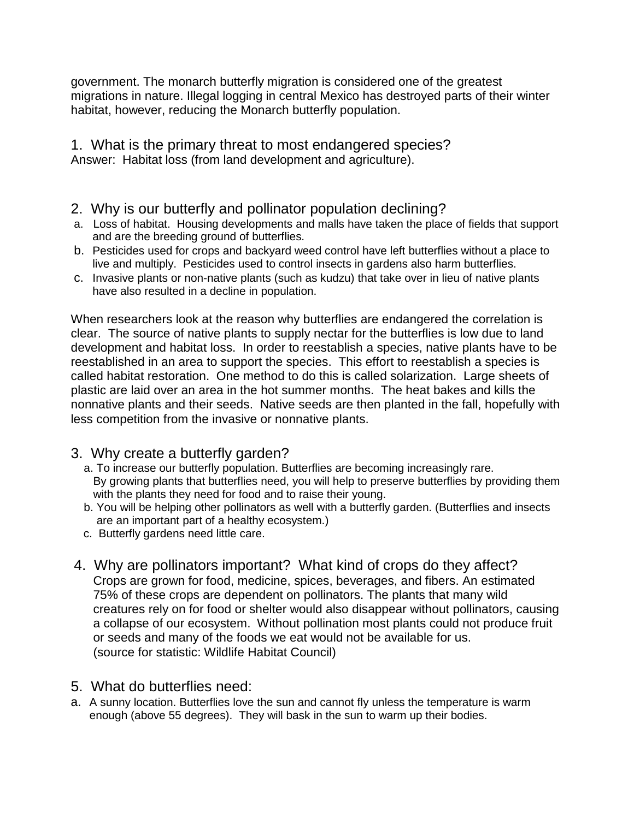government. The monarch butterfly migration is considered one of the greatest migrations in nature. Illegal logging in central Mexico has destroyed parts of their winter habitat, however, reducing the Monarch butterfly population.

1. What is the primary threat to most endangered species? Answer: Habitat loss (from land development and agriculture).

- 2. Why is our butterfly and pollinator population declining?
- a. Loss of habitat. Housing developments and malls have taken the place of fields that support and are the breeding ground of butterflies.
- b. Pesticides used for crops and backyard weed control have left butterflies without a place to live and multiply. Pesticides used to control insects in gardens also harm butterflies.
- c. Invasive plants or non-native plants (such as kudzu) that take over in lieu of native plants have also resulted in a decline in population.

When researchers look at the reason why butterflies are endangered the correlation is clear. The source of native plants to supply nectar for the butterflies is low due to land development and habitat loss. In order to reestablish a species, native plants have to be reestablished in an area to support the species. This effort to reestablish a species is called habitat restoration. One method to do this is called solarization. Large sheets of plastic are laid over an area in the hot summer months. The heat bakes and kills the nonnative plants and their seeds. Native seeds are then planted in the fall, hopefully with less competition from the invasive or nonnative plants.

## 3. Why create a butterfly garden?

- a. To increase our butterfly population. Butterflies are becoming increasingly rare. By growing plants that butterflies need, you will help to preserve butterflies by providing them with the plants they need for food and to raise their young.
- b. You will be helping other pollinators as well with a butterfly garden. (Butterflies and insects are an important part of a healthy ecosystem.)
- c. Butterfly gardens need little care.
- 4. Why are pollinators important? What kind of crops do they affect? Crops are grown for food, medicine, spices, beverages, and fibers. An estimated 75% of these crops are dependent on pollinators. The plants that many wild creatures rely on for food or shelter would also disappear without pollinators, causing a collapse of our ecosystem. Without pollination most plants could not produce fruit or seeds and many of the foods we eat would not be available for us. (source for statistic: Wildlife Habitat Council)

## 5. What do butterflies need:

a. A sunny location. Butterflies love the sun and cannot fly unless the temperature is warm enough (above 55 degrees). They will bask in the sun to warm up their bodies.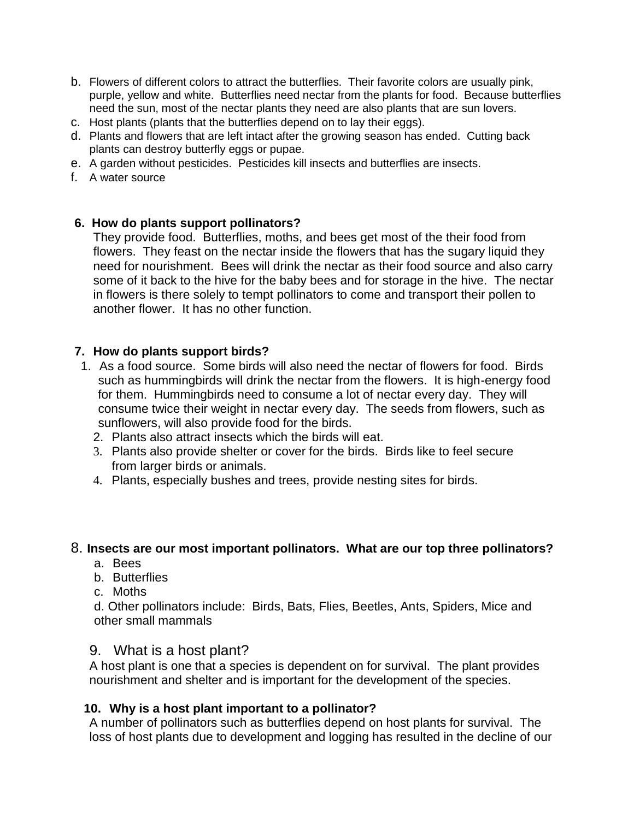- b. Flowers of different colors to attract the butterflies. Their favorite colors are usually pink, purple, yellow and white. Butterflies need nectar from the plants for food. Because butterflies need the sun, most of the nectar plants they need are also plants that are sun lovers.
- c. Host plants (plants that the butterflies depend on to lay their eggs).
- d. Plants and flowers that are left intact after the growing season has ended. Cutting back plants can destroy butterfly eggs or pupae.
- e. A garden without pesticides. Pesticides kill insects and butterflies are insects.
- f. A water source

## **6. How do plants support pollinators?**

They provide food. Butterflies, moths, and bees get most of the their food from flowers. They feast on the nectar inside the flowers that has the sugary liquid they need for nourishment. Bees will drink the nectar as their food source and also carry some of it back to the hive for the baby bees and for storage in the hive. The nectar in flowers is there solely to tempt pollinators to come and transport their pollen to another flower. It has no other function.

## **7. How do plants support birds?**

- 1. As a food source. Some birds will also need the nectar of flowers for food. Birds such as hummingbirds will drink the nectar from the flowers. It is high-energy food for them. Hummingbirds need to consume a lot of nectar every day. They will consume twice their weight in nectar every day. The seeds from flowers, such as sunflowers, will also provide food for the birds.
	- 2. Plants also attract insects which the birds will eat.
	- 3. Plants also provide shelter or cover for the birds. Birds like to feel secure from larger birds or animals.
	- 4. Plants, especially bushes and trees, provide nesting sites for birds.

## 8. **Insects are our most important pollinators. What are our top three pollinators?**

- a. Bees
- b. Butterflies
- c. Moths

d. Other pollinators include: Birds, Bats, Flies, Beetles, Ants, Spiders, Mice and other small mammals

## 9. What is a host plant?

A host plant is one that a species is dependent on for survival. The plant provides nourishment and shelter and is important for the development of the species.

## **10. Why is a host plant important to a pollinator?**

A number of pollinators such as butterflies depend on host plants for survival. The loss of host plants due to development and logging has resulted in the decline of our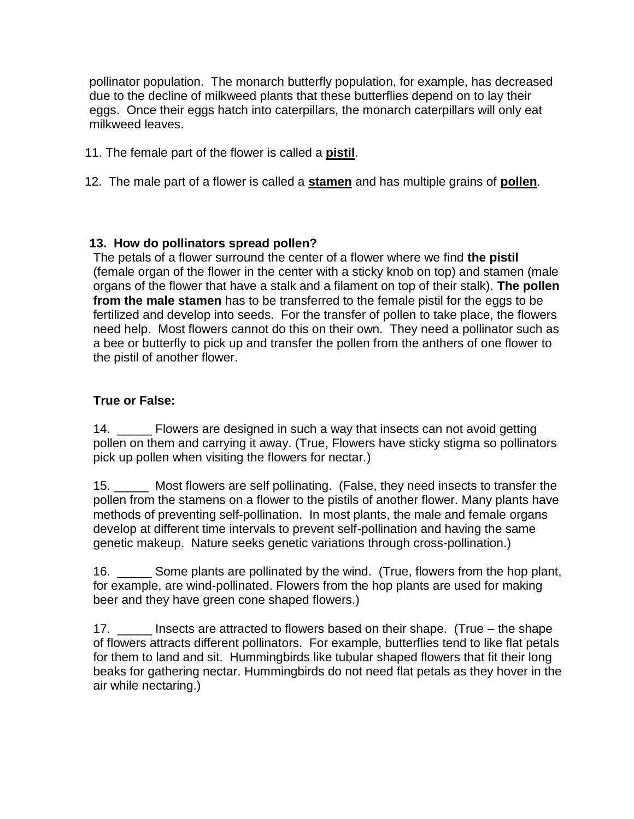pollinator population. The monarch butterfly population, for example, has decreased due to the decline of milkweed plants that these butterflies depend on to lay their eggs. Once their eggs hatch into caterpillars, the monarch caterpillars will only eat milkweed leaves.

- 11. The female part of the flower is called a **pistil**.
- 12. The male part of a flower is called a **stamen** and has multiple grains of **pollen**.

## **13. How do pollinators spread pollen?**

The petals of a flower surround the center of a flower where we find **the pistil**  (female organ of the flower in the center with a sticky knob on top) and stamen (male organs of the flower that have a stalk and a filament on top of their stalk). **The pollen from the male stamen** has to be transferred to the female pistil for the eggs to be fertilized and develop into seeds. For the transfer of pollen to take place, the flowers need help. Most flowers cannot do this on their own. They need a pollinator such as a bee or butterfly to pick up and transfer the pollen from the anthers of one flower to the pistil of another flower.

## **True or False:**

14. \_\_\_\_\_\_ Flowers are designed in such a way that insects can not avoid getting pollen on them and carrying it away. (True, Flowers have sticky stigma so pollinators pick up pollen when visiting the flowers for nectar.)

15. \_\_\_\_\_ Most flowers are self pollinating. (False, they need insects to transfer the pollen from the stamens on a flower to the pistils of another flower. Many plants have methods of preventing self-pollination. In most plants, the male and female organs develop at different time intervals to prevent self-pollination and having the same genetic makeup. Nature seeks genetic variations through cross-pollination.)

16. \_\_\_\_\_ Some plants are pollinated by the wind. (True, flowers from the hop plant, for example, are wind-pollinated. Flowers from the hop plants are used for making beer and they have green cone shaped flowers.)

17. \_\_\_\_\_ Insects are attracted to flowers based on their shape. (True – the shape of flowers attracts different pollinators. For example, butterflies tend to like flat petals for them to land and sit. Hummingbirds like tubular shaped flowers that fit their long beaks for gathering nectar. Hummingbirds do not need flat petals as they hover in the air while nectaring.)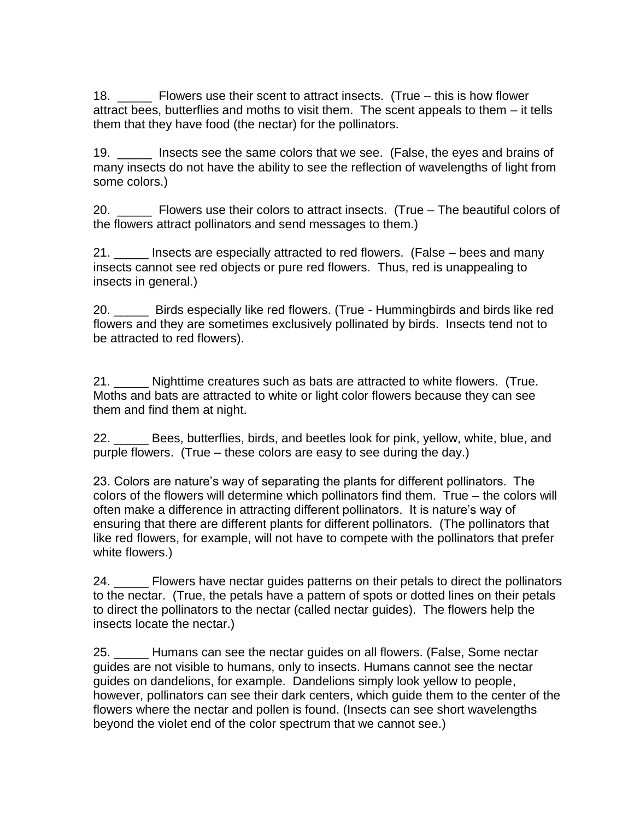18. \_\_\_\_\_ Flowers use their scent to attract insects. (True – this is how flower attract bees, butterflies and moths to visit them. The scent appeals to them – it tells them that they have food (the nectar) for the pollinators.

19. \_\_\_\_\_ Insects see the same colors that we see. (False, the eyes and brains of many insects do not have the ability to see the reflection of wavelengths of light from some colors.)

20. \_\_\_\_\_ Flowers use their colors to attract insects. (True – The beautiful colors of the flowers attract pollinators and send messages to them.)

21. \_\_\_\_\_ Insects are especially attracted to red flowers. (False – bees and many insects cannot see red objects or pure red flowers. Thus, red is unappealing to insects in general.)

20. \_\_\_\_\_ Birds especially like red flowers. (True - Hummingbirds and birds like red flowers and they are sometimes exclusively pollinated by birds. Insects tend not to be attracted to red flowers).

21. \_\_\_\_\_ Nighttime creatures such as bats are attracted to white flowers. (True. Moths and bats are attracted to white or light color flowers because they can see them and find them at night.

22. \_\_\_\_\_ Bees, butterflies, birds, and beetles look for pink, yellow, white, blue, and purple flowers. (True – these colors are easy to see during the day.)

23. Colors are nature's way of separating the plants for different pollinators. The colors of the flowers will determine which pollinators find them. True – the colors will often make a difference in attracting different pollinators. It is nature's way of ensuring that there are different plants for different pollinators. (The pollinators that like red flowers, for example, will not have to compete with the pollinators that prefer white flowers.)

24. \_\_\_\_\_ Flowers have nectar guides patterns on their petals to direct the pollinators to the nectar. (True, the petals have a pattern of spots or dotted lines on their petals to direct the pollinators to the nectar (called nectar guides). The flowers help the insects locate the nectar.)

25. \_\_\_\_\_ Humans can see the nectar guides on all flowers. (False, Some nectar guides are not visible to humans, only to insects. Humans cannot see the nectar guides on dandelions, for example. Dandelions simply look yellow to people, however, pollinators can see their dark centers, which guide them to the center of the flowers where the nectar and pollen is found. (Insects can see short wavelengths beyond the violet end of the color spectrum that we cannot see.)